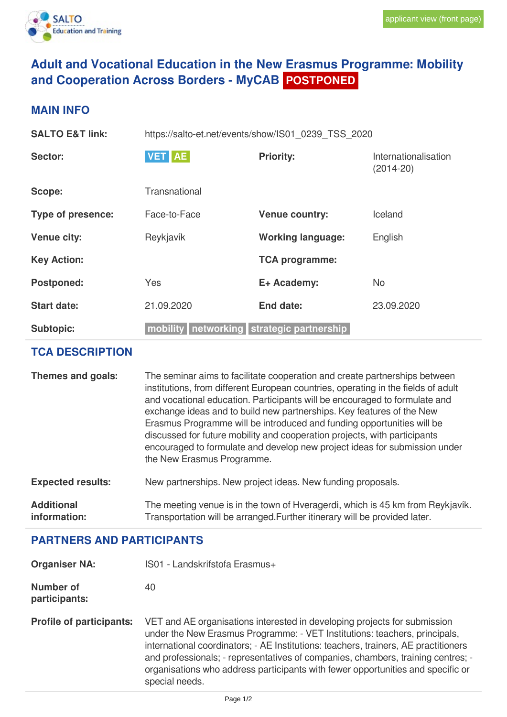

## **Adult and Vocational Education in the New Erasmus Programme: Mobility and Cooperation Across Borders - MyCAB POSTPONED**

## **MAIN INFO**

| <b>SALTO E&amp;T link:</b> | https://salto-et.net/events/show/IS01_0239_TSS_2020 |                                  |                                       |
|----------------------------|-----------------------------------------------------|----------------------------------|---------------------------------------|
| Sector:                    | <b>VET</b> AE                                       | <b>Priority:</b>                 | Internationalisation<br>$(2014 - 20)$ |
| Scope:                     | Transnational                                       |                                  |                                       |
| <b>Type of presence:</b>   | Face-to-Face                                        | <b>Venue country:</b>            | Iceland                               |
| <b>Venue city:</b>         | Reykjavík                                           | <b>Working language:</b>         | English                               |
| <b>Key Action:</b>         |                                                     | <b>TCA programme:</b>            |                                       |
| <b>Postponed:</b>          | <b>Yes</b>                                          | E+ Academy:                      | <b>No</b>                             |
| <b>Start date:</b>         | 21.09.2020                                          | <b>End date:</b>                 | 23.09.2020                            |
| <b>Subtopic:</b>           | mobility                                            | networking strategic partnership |                                       |

## **TCA DESCRIPTION**

| Themes and goals:                 | The seminar aims to facilitate cooperation and create partnerships between<br>institutions, from different European countries, operating in the fields of adult<br>and vocational education. Participants will be encouraged to formulate and<br>exchange ideas and to build new partnerships. Key features of the New<br>Erasmus Programme will be introduced and funding opportunities will be<br>discussed for future mobility and cooperation projects, with participants<br>encouraged to formulate and develop new project ideas for submission under<br>the New Erasmus Programme. |
|-----------------------------------|-------------------------------------------------------------------------------------------------------------------------------------------------------------------------------------------------------------------------------------------------------------------------------------------------------------------------------------------------------------------------------------------------------------------------------------------------------------------------------------------------------------------------------------------------------------------------------------------|
| <b>Expected results:</b>          | New partnerships. New project ideas. New funding proposals.                                                                                                                                                                                                                                                                                                                                                                                                                                                                                                                               |
| <b>Additional</b><br>information: | The meeting venue is in the town of Hveragerdi, which is 45 km from Reykjavík.<br>Transportation will be arranged. Further itinerary will be provided later.                                                                                                                                                                                                                                                                                                                                                                                                                              |

## **PARTNERS AND PARTICIPANTS**

| <b>Organiser NA:</b> | IS01 - Landskrifstofa Erasmus+ |  |
|----------------------|--------------------------------|--|
| <b>Number of</b>     | 40                             |  |

**participants:**

**Profile of participants:** VET and AE organisations interested in developing projects for submission under the New Erasmus Programme: - VET Institutions: teachers, principals, international coordinators; - AE Institutions: teachers, trainers, AE practitioners and professionals; - representatives of companies, chambers, training centres; organisations who address participants with fewer opportunities and specific or special needs.